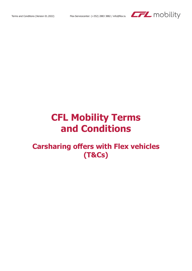

# **CFL Mobility Terms and Conditions**

# **Carsharing offers with Flex vehicles (T&Cs)**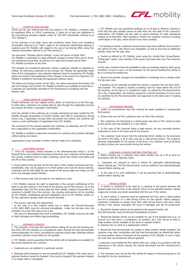

#### SCOPE OF APPLICATION

Thank you for your interest and the trust placed in CFL Mobility, a company with its registered office in L-1616 Luxembourg, 9, place de la Gare and registered in the Luxembourg company register under no. B213407 (hereinafter referred to as "CFL Mobility").

To the exclusion of all other terms and conditions, these Terms and Conditions (hereinafter referred to as "T&Cs") apply to all contractual relationships between a customer and CFL Mobility with regard to the use of car-sharing offers using Flex vehicles (hereinafter referred to as "Flex services").

The document "Fairplay rules & charges" is part and parcel of these T&Cs. CFL Mobility is authorised to make unilateral changes to these T&Cs and to all above-mentioned documents, as well as to its rates and charges and all other CFL Mobility provisions at any time.

The changes are considered approved, unless a customer submits an objection in writing. On informing customers of any change, CFL Mobility will specifically notify them of this consequence. Any customer objection must be received by CFL Mobility within one month of the publication of the change. In the event of an objection, CFL Mobility is entitled to terminate the agreement without notice.

The latest and binding version of the T&Cs, the above-mentioned documents, the rate and charges and all other CFL Mobility provisions are available at www.flex.lu Customers are specifically reminded of the importance of complying with the fairplay rules.

# 2. CONCLUSION OF A CONTRACT

Private individuals can only register online, either via www.flex.lu or the Flex app. In both cases, customers are guided step by step through the registration process and receive all further (necessary) information.

Once the identity of the customer (as a private individual) has been verified by CFL Mobility through presentation of his/her identity card valid in Luxembourg, driving licence and, if applicable, through other documents and criteria, the customer will receive e-mail confirmation of registration from CFL Mobility.

The conclusion of the contract between the customer, an individual, and CFL Mobility is dependent on this registration confirmation.

CFL Mobility is entitled to reject the conclusion of a contract with a private individual without giving any reason.

Legal persons must conclude a written contract made out in duplicate.

# **CUSTOMER ACCESS**

a Once the necessary checks foreseen in the aforementioned Article 2 of the General Terms and Conditions have been performed, new customers will be granted Flex access, enabling them to make a booking, access the vehicle reservation and set off on their journey.

b Access data to Flex services via the Flex app or other media is personal and nontransferable, may not be passed on to third parties and must be stored carefully. Customers will be held liable for any misuse of the access data and media, as well as for any damage caused thereby.

c A Flex account may only be used for one vehicle at a time.

d CFL Mobility reserves the right to deactivate a Flex account (withdrawal of the right to use the system) in the event of the abusive use of Flex services. As of the deactivation date, the Flex access data lose their validity, making it impossible for a customer to benefit from Flex services. Any existing reservations will be cancelled by CFL Mobility. Outstanding payment obligations vis-à-vis CFL Mobility remain valid. Any payments already made will not be refunded.

e Flex access, card loss and replacement.

In the case of a Flex medium being lost or stolen, the Flex-Servicecenter (+352 2883 3882) must be informed immediately. Under the fair-play rules, the activation of a new Flex-Card incurs a fee.

Any use of a deactivated Flex-Card is prohibited. CFL Mobility reserves the right to claim damages and initiate legal proceedings.

# **BOOKING A VEHICLE**

a The customer must book the vehicle before setting off via the Flex booking system (Flex APP, Flex website or, in exceptional cases, through the Flex-Servicecenter (where applicable, for a fee)), providing his customer access data. Bookings without providing customer access data are not possible.

b CFL Mobility cannot guarantee that the vehicle will be bookable and available for the period desired by the customer.

c Customers are not entitled to a particular vehicle.

d Bookings will be declined or may be cancelled by CFL Mobility if the credit card or payment medium cannot be charged. A fee may be charged if the payment medium is no longer valid or chargeable.

e CFL Mobility can only guarantee bookings up to 30 days in advance, bearing in mind that the date booked cannot be later than the end date of the customer's subscription. CFL Mobility has the right to cancel bookings for valid operational reasons at its discretion. After booking a vehicle, the customer receives a booking confirmation in the app, which he/she must check carefully.

f On booking a vehicle, customers should ensure they have sufficient time to return the vehicle on time. Late returns are chargeable, as well as incurring an additional penalty under the fair play rules.

g Insofar as offered by CFL Mobility, when using the "Rental Start Group/Mietantrittsgruppe" option, each member of the group must have their own Flex customer account.

In this case, members have the possibility to take up bookings made by other group members. In such a case, it is not necessary for the person booking the vehicle to be in it during the booked trip.

h Shorter hire periods, changes and cancellations of bookings incur a charge under the fair-play rules.

i A booking can be extended provided the vehicle in question has not been otherwise booked. The request to extend a booking must be made before the end of the booking, via the app or, in exceptional cases, by calling the Flex-Servicecenter (for a fee, if applicable). Any booking request for a period exceeding 72 hours must be submitted to the Flex-Servicecenter and approved by the latter prior to making the booking.

# 5. AUTHORISED DRIVERS

a Under no circumstances may Flex vehicles be made available to unauthorised third parties.

**b** Drivers who are not Flex customers may not drive Flex vehicles.

c Flex customers not belonging to a rental group may drive a Flex vehicle as long as the person who has booked it is in the vehicle.

d In the case of the customer being a legal person, he may nominate persons authorised to drive in his name and for his account.

e The customer must ensure that the authorised driver abides by the provisions set forth in the T&Cs, is fit to drive and has a valid driving licence. The customer assumes responsibility for the actions of the driver. The customer must at all times be able to prove who was actually driving the vehicle.

# **CHECKING A VEHICLE BEFORE STARTING OUT**

a Before starting out, a customer must check whether the car is fit to drive (in accordance with the Highway Code).

Customers are required to check a vehicle for noticeable defects/damage before starting out. The Flex-Servicecenter must be notified of any defects/damage noticed before starting out.

c In the case of no such notification, it will be assumed that no defect/damage existed before starting out.

#### **VEHICLE USAGE**

a A vehicle is considered to be used by a customer in the period between the booked begin and the time of the vehicle's return to the specified location. Vehicle usage also includes any action associated with the use of the vehicle.

b To use a vehicle, a customer must be registered with Flex, have a valid booking and be in possession of a valid driving licence for the specific vehicle category. Customers undertake to always have their valid driving licence with them when driving a Flex vehicle. Disregard will result in damages and will be prosecuted.

c Should the booked vehicle not be parked at the agreed location, the Flex-Servicecenter must be informed immediately by phone.

d Should the booked vehicle not be available for use at the booked time (e.g. on account of a late return, a breakdown, an accident, etc.), Flex will do its best to make another vehicle available at the same or nearest location. A customer has no claim to a replacement vehicle.

e Should the Flex-Servicecenter be unable to make another vehicle available, the customer may, after consultation with the Flex-Servicecenter, be offered the option of using another means of transport at the expense of CFL Mobility. In such a case, the cost must not exceed the amount granted.

f Customers must handle the Flex vehicle with care, using it in accordance with the instructions in the vehicle manual, the vehicle documents and the manufacturer's instructions.

g The customer must not use the Flex vehicle for illegal or immoral purposes or not provided for by the manufacturer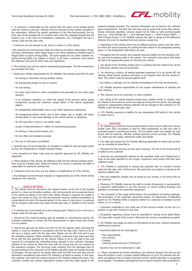

h A customer is responsible for the vehicle from the begin of the booked period until the vehicle is returned. Vehicles must be returned to the location specified in the reservation. Without the explicit agreement of the Flex-Servicecenter, the vehicle may not be dropped off at a location other than the originally booked drop-off location (e.g. in the case of a breakdown, roadworks, etc.). Disregard will incur a charge under the fair play rules.

i Customers are not allowed to eat, drink or smoke in a Flex vehicle.

j Flex vehicles may not be driven under the influence of alcohol, hallucinatory drugs, narcotics, barbiturates, other illegal drugs or any other substance (whether legal or illegal) liable to impair driving ability. The same applies for any other condition impairing driving ability (e.g. fatigue or illness). In all cases, a customer must respect the Highway Code and all other rules and regulations.

k Flex vehicles may only be used for transporting passengers. The Flex transporters are excluded from this.

l Unless prior written authorization by CFL Mobility, Flex vehicles may NOT be used:

- for towing or otherwise moving another vehicle, – for transporting people for hire or reward,
- for sub-renting
- for motor sport events or other competitions and generally for any motor sport practice,
- in an overladen condition, i.e. when the weight of the persons and/or goods transported exceeds the maximum weight stated in the vehicle registration papers,
- for transporting inflammable, toxic or any other dangerous substances,
- for transporting objects which, due to their shape, size or weight, will impair driving safety or may cause damage to the vehicle interior or bodywork,
- for off-road trips or trips on non-public roads,
- as part of demonstrations or rallies, for advertising purposes,
- for driving or skid control lessons, etc.,
- for any other non-standard purpose.
- m The use of roof-racks is prohibited.

n Animals may not be transported. An exception is made for cats and dogs insofar as they are transported in suitable transport boxes.

o Any exceptions to these rules must be explicitly approved by CFL Mobility management.

**p** When parking a Flex vehicle, the Highway Code and the relevant parking restrictions must be complied with. While the vehicle is in use by a customer, the latter is responsible for paying all parking fees.

q Customers must not carry out any repairs or modifications to a Flex vehicle.

r Any damage incurred through improper or inappropriate use of the vehicle will be charged to the customer.

#### **VEHICLE RETURNS**

a The vehicle must be returned to the agreed location at the end of the booked period in a clean and drivable condition, with all documents and accessories found in the vehicle on taking it over still in the vehicle. Should a customer be unable to return the vehicle on time, the Flex-Servicecenter must be notified immediately by phone before the end of the booked period. In the case of a late return, a customer will be charged a late-return fee under the fair-play rules, in addition to the normal rate.

b E-vehicles are to be hooked up to the charging point. Failure to do so will incur a charge under the fair-play rules.

c Should no Flex reserved parking spot be available on returning the vehicle, the customer undertakes to contact the Flex-Servicecenter to agree where the vehicle is to be parked.

d Should the gas tank be below one third of the full capacity when returning the vehicle, it must be refuelled in accordance with the fair play rules. Failure to do so will incur a charge under the fair play rules. Please use the DKV fuel card to pay the refuelling expenses. When refuelling a vehicle, customers must make sure they fill up with the fuel specified for the vehicle. Failure to do so will lead to the cost incurred for remedying the misfuelling being charged to the customer. Damages inflicted to the vehicle by filling the tank with the wrong fuel are not covered by the insurance company. The occurring costs resulting from the damages have to be paid entirely by the customer as the liability reduction does not include this type of damages. Fill-ups paid for by means other than the DKV fuel card may only be refunded in exceptional cases which CFL Mobility is at liberty to assess. In this case, the customer must send the original receipt to CFL Mobility (stating the name, Flex customer number and vehicle registration number) and their bank details in the prepaid envelope provided. The required information can be found in the vehicle's glove compartment. The DKV fuel card may only be used to fill up the Flex vehicle. Unless otherwise specified, vehicles should not be filled up with premium-grade fuel (e.g. « Aral Ultimate 98 », « Aral Ultimate Diesel », « Shell V-Power SP98 », « Shell V-Power Diesel »). CFL Mobility reserves the right to charge for the difference between the price for standard fuel and premium-grade fuel.

e Depending on the vehicle, there may be different parking cards in the Flex vehicles which are used exclusively for parking the Flex vehicle in the designated parking space / in the designated multi-storey car park.

f Throughout the hire period, the customer assumes liability for the refuelling charge card and all parking cards in the vehicle. The customer must ensure that these are left in the appropriate place on returning the vehicle.

g Any abuse of the refuelling charge card or a parking card (for instance for use for a third-party vehicle) may be prosecuted.

h On returning a vehicle, all battery-operated equipment is to be turned off, the steering wheel locked, windows and doors to be properly shut and the vehicle locked. The vehicle must be secured against theft.

i Any defect or damage is to be reported immediately to the Flex-Servicecenter.

j CFL Mobility assumes responsibility for the regular maintenance of vehicles and their cleaning.

k Flex vehicles are to be returned in a clean condition.

l Any soiling of the vehicle beyond normal wear, whether inside or outside, must be cleaned by the customer at his own expense during the hire period. Any damage caused by inappropriate cleaning methods will be charged to the customer by CFL Mobility under the fair-play rules.

m CFL Mobility assumes no liability for any possessions left behind in the vehicle or stolen from it.

#### 9. INVOICING

a On registering, customers must provide details of their current credit card. Secure Socket Layer (SSL) encryption is used for data transmission so that your data is protected against unauthorized access. The encrypted credit card details are only stored with an external, officially certified payment service provider. CFL Mobility S.A. itself only has coded, referenced credit card details.

b The rates and charges for CFL Mobility offerings applicable at vehicle pick-up time can be consulted at www.flex.lu.

c Payments for Flex services are due upon invoicing. The link to the invoice will be e-mailed to the customer.

d Amounts are automatically debited via the specified credit card (MasterCard or Visa) on the date specified on the invoice. Customers must ensure that they have sufficient credit.

e CFL Mobility is authorised to charge late payment fees on overdue invoices under the fair-play rules. Furthermore, late payments are subject to interest at the statutory default rate.

f Fees and additional charges may be levied on any arrears, to be borne fully by the customer.

g Moreover, CFL Mobility reserves the right to revoke (temporarily or permanently) a customer's authorisation to use Flex services, to cancel existing bookings and possibly to terminate the subscriber agreement.

h The revocation of the usage authorisation, the cancellation of existing bookings, the termination of the subscriber agreement and/or the debarment of defaulting payers by CFL Mobility entitle a customer neither to a reduction of already incurred claims, nor to a refund.

i Customers undertake to only make use of Flex services insofar as they are in a position to pay their invoices in due time.

Complaints regarding invoices must be submitted in writing at the latest fifteen (15) days after receipt of the invoice. Otherwise the invoice is considered accepted.

k CFL Mobility may assign its claims to third parties at any time, without necessarily notifying the customer.

l Vouchers/credits can be used against:

- Flex subscriptions,
- hire invoices,
- charges, – reducing Excess amounts ("franchise").

Vouchers may not be reimbursed in cash.

m When calculating the driven kilometres, the distance between the pick-up and drop-off location is used. A system-related difference of up to 5% between the distance calculated by the on-board computer and the vehicle odometer is recognised as acceptable. The distance calculated by the on-board computer takes precedence.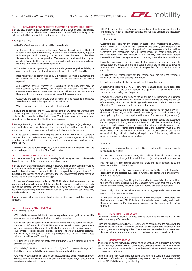

#### 10. BREAKDOWNS AND ACCIDENTS INVOLVING THE FLEX VEHICLE – THEFT

a In the case of any defect, breakdown, accident or any other incident, the journey may not be continued. The Flex-Servicecenter must be notified immediately of the incident and will discuss with the customer the next steps.

**b** As a general rule,

- the Flex-Servicecenter must be notified immediately.
- In the case of any accident, a European Accident Report must be filled out (a form is available in the vehicle). A photo of the Accident Report, together with any photos documenting the incident, must be sent to the Flex-Servicecenter as soon as possible. The customer must send the original Accident Report to CFL Mobility in the prepaid envelope provided which can be found in the vehicle's glove compartment.
- The driver must not give or sign any acknowledgement of guilt or liability or any comparable statement, as this will not be accepted by CFL Mobility.
- Repairs may only be commissioned by CFL Mobility. In principle, customers are not allowed to repair damage to a Flex vehicle themselves or to have it repaired.
- A breakdown service, whether in Luxembourg or abroad, may only be commissioned by CFL Mobility. CFL Mobility will not cover the cost of a customer-commissioned breakdown service or will invoice the customer for the amount in the event of non-compliance with this requirement.
- Customers are obliged to ensure that all necessary and reasonable measures are taken to minimise damage and secure evidence.
- When necessary, the customer should call in the police.

c Should the oil control light, the ABS control light or any other red warning light start blinking, the vehicle is to be halted immediately and the Flex-Servicecenter contacted by phone for further instructions. The journey must not be continued without the explicit consent of the Flex-Servicecenter.

d Damage impairing the vehicle's operation caused by negligence (e.g. damage to tyres, misfuelling, mechanical damage due to mishandling) and the associated costs are not covered by the insurance and will be fully charged to the customer.

e In the case of a vehicle not being available to the customer or a subsequent customer due to a breakdown, accident, traffic jam or force majeure, CFL Mobility is authorised to hold the customer responsible for any negligence leading to the unavailability.

f In the case of the vehicle being stolen, the customer must immediately call in the police and report the theft to the Flex-Servicecenter.

#### 11. DAMAGE TO A FLEX VEHICLE

a A customer must fully reimburse CFL Mobility for all damage caused to the vehicle through disregard of the T&Cs and/or through negligence

b In the event of any damage/accident/breakdown, the Flex-Servicecenter must be notified immediately by telephone. Notifications of damage via a different communication channel (e-mail, letter, etc.) will not be accepted. Damage existing before the start of the journey must be reported to the Flex-Servicecenter immediately and before the start of the journey via the app.

c In the case of no such report existing, CFL Mobility is entitled to consider the customer using the vehicle immediately before the damage was reported as the party causing the damage, and thus responsible for it. In doing so, CFL Mobility may make use of the electronic trip recording system. Obviously, the customer concerned may provide evidence to the contrary.

d Any damage will be repaired at the discretion of CFL Mobility and the insurance company.

# 12. LIABILITY AND INSURANCE

# a CFL Mobility liability

CFL Mobility assumes liability for errors regarding its obligations under this Agreement, subject to the restrictions provided hereafter.

CFL is not liable in cases of force majeure, Force majeure covers all circumstances not influenced by CFL Mobility, such as natural disasters, government actions, decisions of the authorities, blockades, war and other military conflicts, civil unrest, terrorist attacks, strikes, lockouts and other industrial disputes, confiscations, embargoes or other unpredictable and serious circumstances with no causal link to CFL Mobility.

CFL Mobility is not liable for negligence attributable to a customer or a third party to the contract.

CFL Mobility's liability is restricted to EUR 2,500 for material damage. CFL Mobility assumes no liability for immaterial and/or indirect damage.

CFL Mobility cannot be held liable for any losses, damage or delays resulting from the loss or theft of a customer's FLEX access data or media and/or through their fraudulent use by a third party.

CFL Mobility and the vehicle's owner cannot be held liable in cases where it is impossible to reach a customer because he has not updated the necessary customer data.

# b Customer liability

Customers are liable for any breach of these T&Cs, irrespective of whether through their own actions or their failure to take action, and irrespective of whether on their part or on the part of other passengers in the vehicle. Customers are responsible for all consequences of their negligence, in whatever form, and will compensate CFL Mobility and any third parties involved for all direct damage, whether to persons, material or immaterial items.

From the beginning of the hire period to the moment the car is returned to agreed location, locked and left in a state allowing the vehicle to be hired to a subsequent customer, a customer is responsible for the vehicle and its contents.

He assumes full responsibility for the vehicle from the time the vehicle is taken over until its final (possibly late) return.

He undertakes to handle the Flex vehicle as if it were his own.

A customer is liable vis-à-vis CFL Mobility for all damage and all costs associated with the loss or theft of the vehicle, and generally for all damage to the vehicle incurred during the hire period.

However, the owner of the vehicles makes available to customers an insurance policy covering most forms of damage incurred during the responsible use of the vehicle, with customer liability generally restricted to the Excess amount ("franchise") (in accordance with the selected option).

CFL Mobility reserves the right to apply special provisions for young drivers / drivers who have only recently passed their driving test, as well as restricting subscription options to a subscription with a lower Excess amount ("franchise").

In cases where the insurance company refuses to perform due to the customer's conduct (especially driving under the influence of alcohol or narcotics, driving without a valid driving licence, non-notification of an accident/damage, nonsubmission of the original theft protocol, etc.), the customer must pay the entire amount of the damage incurred by CFL Mobility and/or the vehicle owner (including, but not limited to, all repair costs of the vehicle, vehicle loss of value, parking fees, towing costs, etc.).

c Insurance

Insofar as the provisions stipulated in the T&Cs are adhered to, customer liability is restricted as follows:

In line with statutory requirements, Flex vehicles have third-party liability insurance covering damage/injury to third parties (including vehicle passengers).

Flex vehicles are also insured against fire, theft and glass damage up to the amounts specified in the policies.

Customers must pay the Excess amount ("franchise"), the height of which is dependent on the selected subscription, whether for damage to a third party or to the hired vehicle.

For damages resulting from filling the tank with fuel unsuitable for the vehicle, the occurring costs resulting from the damages have to be paid entirely by the customer as the liability reduction does not include this type of damages.

We explicitly point out that all personal items or luggage in the vehicle are not covered by the insurance policies.

In the event of any accident/damage, customers undertake to cooperate with the insurance company, CFL Mobility and the vehicle owner, making available to them all evidence and/or documents necessary for the proper settlement of the claim.

# **ROAD TRAFFIC OFFENCES**

Customers are responsible for all fines and penalties incurred by them or a third party while using a Flex vehicle.

Fines and penalties received by CFL Mobility will be passed on to the police with the details of the related Flex customer. CFL Mobility will charge this customer for the processing under the fair-play rules. Customers are responsible for all associated costs (costs of legal representation and proceedings, fines and penalties, etc.).

#### 14. JOURNEYS ABROAD

Journeys outside the following countries must be notified and authorised in advance by CFL Mobility: Grand Duchy of Luxembourg, Germany, France, Belgium, Switzerland, Austria and the Netherlands to the exclusion of their territories located outside the European continent.

Customers are fully responsible for complying with the vehicle-related statutory provisions, traffic rules and driving licence requirements of the countries concerned, without CFL Mobility incurring any liability.